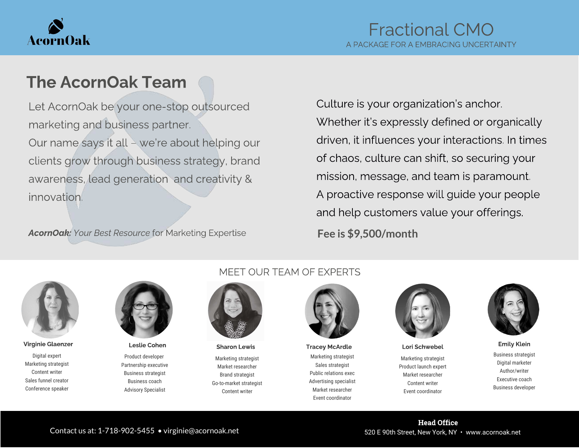

## The AcornOak Team

Let AcornOak be your one-stop outsourced marketing and business partner. Our name says it all – we're about helping our clients grow through business strategy, brand awareness, lead generation and creativity & innovation.

AcornOak: Your Best Resource for Marketing Expertise

Culture is your organization's anchor. Whether it's expressly defined or organically driven, it influences your interactions. In times of chaos, culture can shift, so securing your mission, message, and team is paramount. A proactive response will guide your people and help customers value your offerings.

**Fee is \$9,500/month**



Digital expert Marketing strategist Content writer Sales funnel creator Conference speaker



Product developer Partnership executive Business strategist Business coach Advisory Specialist

#### MEET OUR TEAM OF EXPERTS



Marketing strategist Market researcher Brand strategist Go-to-market strategist Content writer

Marketing strategist Sales strategist Public relations exec Advertising specialist Market researcher Event coordinator Virginie Glaenzer Leslie Cohen Sharon Lewis Tracey McArdle Lori Schwebel Emily Klein



Marketing strategist Product launch expert Market researcher Content writer Event coordinator



Business strategist Digital marketer Author/writer Executive coach Business developer